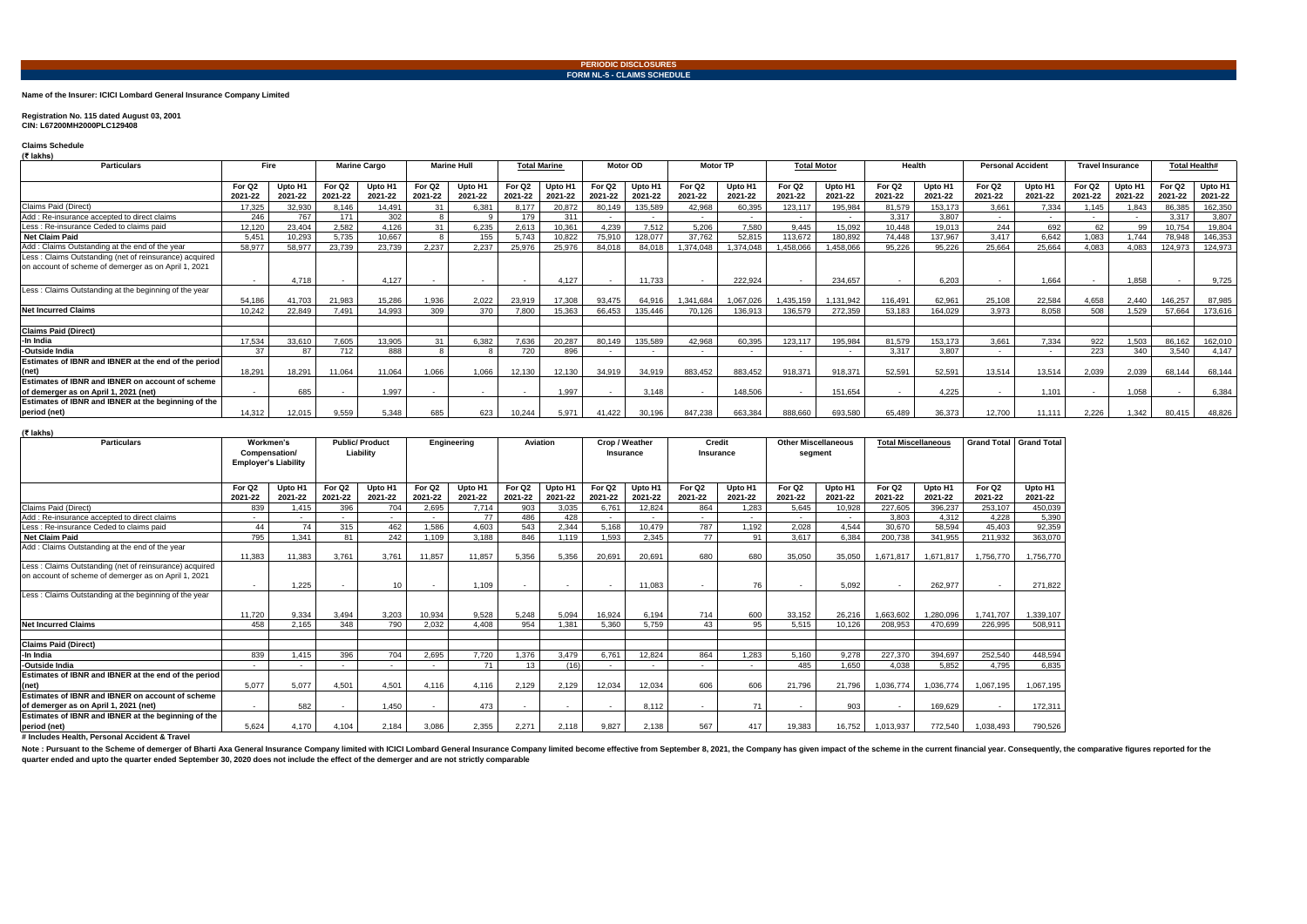**Name of the Insurer: ICICI Lombard General Insurance Company Limited**

### **Registration No. 115 dated August 03, 2001 CIN: L67200MH2000PLC129408**

**Claims Schedule (₹ lakhs)**

Note: Pursuant to the Scheme of demerger of Bharti Axa General Insurance Company limited with ICICI Lombard General Insurance Company limited become effective from September 8, 2021, the Company has given impact of the sch **quarter ended and upto the quarter ended September 30, 2020 does not include the effect of the demerger and are not strictly comparable**

# **(₹ lakhs)**

| <b>Particulars</b>                                                                                             | <b>Fire</b>                   |                    | <b>Marine Cargo</b>           |                    | <b>Marine Hull</b> |                    | <b>Total Marine</b>           |                                | Motor OD           |                    | <b>Motor TP</b>    |                    | <b>Total Motor</b> |                    | Health                        |                    | <b>Personal Accident</b>      |                    | <b>Travel Insurance</b> |                    | <b>Total Health#</b> |                    |
|----------------------------------------------------------------------------------------------------------------|-------------------------------|--------------------|-------------------------------|--------------------|--------------------|--------------------|-------------------------------|--------------------------------|--------------------|--------------------|--------------------|--------------------|--------------------|--------------------|-------------------------------|--------------------|-------------------------------|--------------------|-------------------------|--------------------|----------------------|--------------------|
|                                                                                                                |                               |                    |                               |                    | For Q <sub>2</sub> |                    |                               |                                | For Q <sub>2</sub> |                    | For Q <sub>2</sub> |                    | For Q <sub>2</sub> |                    |                               |                    |                               |                    | For Q <sub>2</sub>      |                    | For Q <sub>2</sub>   |                    |
|                                                                                                                | For Q <sub>2</sub><br>2021-22 | Upto H1<br>2021-22 | For Q <sub>2</sub><br>2021-22 | Upto H1<br>2021-22 | 2021-22            | Upto H1<br>2021-22 | For Q <sub>2</sub><br>2021-22 | Upto H <sub>1</sub><br>2021-22 | 2021-22            | Upto H1<br>2021-22 | 2021-22            | Upto H1<br>2021-22 | 2021-22            | Upto H1<br>2021-22 | For Q <sub>2</sub><br>2021-22 | Upto H1<br>2021-22 | For Q <sub>2</sub><br>2021-22 | Upto H1<br>2021-22 | 2021-22                 | Upto H1<br>2021-22 | 2021-22              | Upto H1<br>2021-22 |
| Claims Paid (Direct)                                                                                           | 17.325                        | 32.930             | 8.146                         | 14.491             |                    | 6,381              | 8.177                         | 20.872                         | 80.149             | 135,589            | 42.968             | 60.395             | 123,117            | 195,984            | 81.579                        | 153,173            | 3.661                         | 7.334              | .145                    | 1.843              | 86.385               | 162,350            |
| Add: Re-insurance accepted to direct claims                                                                    | 246                           | 767                | 171                           | 302                |                    |                    | 179                           | 311                            |                    |                    | $\sim$             |                    | $\sim$             | $\sim$             | 3.317                         | 3.807              | $\sim$                        | $\sim$             |                         |                    | 3,317                | 3,807              |
| Less: Re-insurance Ceded to claims paid                                                                        | 12,120                        | 23,404             | 2,582                         | 4,126              |                    | 6,235              | 2,613                         | 10,361                         | 4.239              | 7.512              | 5,206              | 7,580              | 9.445              | 15.092             | 10,448                        | 19.013             | 244                           | 692                | 62                      | 99                 | 10,754               | 19,804             |
| <b>Net Claim Paid</b>                                                                                          | 5,451                         | 10,293             | 5,735                         | 10,667             |                    | 155                | 5.743                         | 10,822                         | 75,910             | 128,077            | 37,762             | 52.815             | 113,672            | 180,892            | 74,448                        | 137,967            | 3,417                         | 6.642              | 1.083                   | 1.744              | 78,948               | 146,353            |
| Add: Claims Outstanding at the end of the year                                                                 | 58,977                        | 58,977             | 23,739                        | 23,739             | 2.237              | 2.237              | 25,976                        | 25,976                         | 84.018             | 84.018             | 1,374,048          | 374,048            | ,458,066           | 1,458,066          | 95,226                        | 95.226             | 25,664                        | 25,664             | 4.083                   | 4.083              | 124,973              | 124,973            |
| Less: Claims Outstanding (net of reinsurance) acquired<br>on account of scheme of demerger as on April 1, 2021 |                               |                    |                               |                    |                    |                    |                               |                                |                    |                    |                    |                    |                    |                    |                               |                    |                               |                    |                         |                    |                      |                    |
|                                                                                                                | $\sim$ $-$                    | 4.718              |                               | 4.127              |                    | $\sim$             | $\overline{\phantom{a}}$      | 4.127                          |                    | 11,733             |                    | 222.924            |                    | 234.657            |                               | 6.203              |                               | 1.664              |                         | 1.858              |                      | 9,725              |
| Less: Claims Outstanding at the beginning of the year                                                          | 54,186                        | 41.703             | 21,983                        | 15.286             | 1,936              | 2,022              | 23.919                        | 17,308                         | 93.475             | 64.91              | 1.341.684          | 1.067.026          | .435.159           | 1.131.942          | 116,491                       | 62.961             | 25,108                        | 22,584             | 4.658                   | 2.440              | 146.257              | 87,985             |
| <b>Net Incurred Claims</b>                                                                                     | 10.242                        | 22.849             | 7.491                         | 14.993             | 309                | 370                | 7.800                         | 15.363                         | 66.453             | 135,446            | 70.126             | 136.913            | 136,579            | 272,359            | 53.183                        | 164.029            | 3.973                         | 8.058              | 508                     | 1.529              | 57,664               | 173,616            |
| <b>Claims Paid (Direct)</b>                                                                                    |                               |                    |                               |                    |                    |                    |                               |                                |                    |                    |                    |                    |                    |                    |                               |                    |                               |                    |                         |                    |                      |                    |
| -In India                                                                                                      | 17.534                        | 33.610             | 7.605                         | 13.905             | 31                 | 6.382              | 7.636                         | 20.287                         | 80.149             | 135.589            | 42.968             | 60.395             | 123.117            | 195.984            | 81.579                        | 153.173            | 3.661                         | 7.334              | 922                     | 1.503              | 86.162               | 162,010            |
| -Outside India                                                                                                 | 37                            | 87                 | 712                           | 888                |                    |                    | 720                           | 896                            |                    |                    | $\sim$             | $\sim$             | $\sim$             |                    | 3.317                         | 3.807              | $\sim$                        |                    | 223                     | 340                | 3.540                | 4.147              |
| Estimates of IBNR and IBNER at the end of the period                                                           |                               |                    |                               |                    |                    |                    |                               |                                |                    |                    |                    |                    |                    |                    |                               |                    |                               |                    |                         |                    |                      |                    |
| (net)                                                                                                          | 18.291                        | 18,291             | 11,064                        | 11,064             | 1,066              | 1,066              | 12,130                        | 12,130                         | 34.919             | 34.919             | 883,452            | 883,452            | 918,371            | 918,371            | 52,591                        | 52.591             | 13,514                        | 13,514             | 2,039                   | 2,039              | 68,144               | 68,144             |
| Estimates of IBNR and IBNER on account of scheme<br>of demerger as on April 1, 2021 (net)                      | $\sim$                        | 685                |                               | 1,997              | $\sim$             | $\sim$             |                               | 1,997                          |                    | 3.148              |                    | 148,506            |                    | 151,654            |                               | 4.225              |                               | 1,101              |                         | 1,058              |                      | 6,384              |
| Estimates of IBNR and IBNER at the beginning of the<br>period (net)                                            | 14.312                        | 12.015             | 9,559                         | 5.348              | 685                | 623                | 10.244                        | 5.971                          | 41.422             | 30.196             | 847,238            | 663,384            | 888,660            | 693,580            | 65.489                        | 36.373             | 12.700                        | 11.111             | 2.226                   | 1.342              | 80.415               | 48,826             |

| « калпэ)                                               |                                                           |         |                    |         |                       |         |                    |         |                    |         |                    |         |                    |         |                            |           |                            |           |                    |                    |
|--------------------------------------------------------|-----------------------------------------------------------|---------|--------------------|---------|-----------------------|---------|--------------------|---------|--------------------|---------|--------------------|---------|--------------------|---------|----------------------------|-----------|----------------------------|-----------|--------------------|--------------------|
| <b>Particulars</b>                                     | Workmen's<br>Compensation/<br><b>Employer's Liability</b> |         |                    |         | <b>Public/Product</b> |         | Engineering        |         | <b>Aviation</b>    |         | Crop / Weather     |         | <b>Credit</b>      |         | <b>Other Miscellaneous</b> |           | <b>Total Miscellaneous</b> |           | <b>Grand Total</b> | <b>Grand Total</b> |
|                                                        |                                                           |         | Liability          |         |                       |         |                    |         | <b>Insurance</b>   |         | Insurance          |         | segment            |         |                            |           |                            |           |                    |                    |
|                                                        |                                                           |         |                    |         |                       |         |                    |         |                    |         |                    |         |                    |         |                            |           |                            |           |                    |                    |
|                                                        |                                                           |         |                    |         |                       |         |                    |         |                    |         |                    |         |                    |         |                            |           |                            |           |                    |                    |
|                                                        | For Q <sub>2</sub>                                        | Upto H1 | For Q <sub>2</sub> | Upto H1 | For Q <sub>2</sub>    | Upto H1 | For Q <sub>2</sub> | Upto H1 | For Q <sub>2</sub> | Upto H1 | For Q <sub>2</sub> | Upto H1 | For Q <sub>2</sub> | Upto H1 | For Q <sub>2</sub>         | Upto H1   | For Q <sub>2</sub>         | Upto H1   |                    |                    |
|                                                        | 2021-22                                                   | 2021-22 | 2021-22            | 2021-22 | 2021-22               | 2021-22 | 2021-22            | 2021-22 | 2021-22            | 2021-22 | 2021-22            | 2021-22 | 2021-22            | 2021-22 | 2021-22                    | 2021-22   | 2021-22                    | 2021-22   |                    |                    |
| Claims Paid (Direct)                                   | 839                                                       | 1,415   | 396                | 704     | 2,695                 | 7.714   | 903                | 3,035   | 6,761              | 12,824  | 864                | 1,283   | 5,645              | 10,928  | 227,605                    | 396,237   | 253,107                    | 450,039   |                    |                    |
| Add: Re-insurance accepted to direct claims            |                                                           |         |                    | $\sim$  |                       | 77      | 486                | 428     | $\sim$             |         |                    | $\sim$  |                    | $\sim$  | 3,803                      | 4,312     | 4.228                      | 5,390     |                    |                    |
| Less: Re-insurance Ceded to claims paid                | 44                                                        | 74      | 315                | 462     | 1.586                 | 4.603   | 543                | 2,344   | 5.168              | 10.479  | 787                | 1.192   | 2,028              | 4.544   | 30.670                     | 58.594    | 45.403                     | 92,359    |                    |                    |
| <b>Net Claim Paid</b>                                  | 795                                                       | 1.341   | 81                 | 242     | 1,109                 | 3.188   | 846                | 1.119   | 1,593              | 2,345   | 77                 | 91      | 3,617              | 6,384   | 200,738                    | 341,955   | 211,932                    | 363,070   |                    |                    |
| Add: Claims Outstanding at the end of the year         |                                                           |         |                    |         |                       |         |                    |         |                    |         |                    |         |                    |         |                            |           |                            |           |                    |                    |
|                                                        | 11.383                                                    | 11.383  | 3.761              | 3.761   | 11,857                | 11,857  | 5.356              | 5,356   | 20.691             | 20.691  | 680                | 680     | 35,050             | 35,050  | 1,671,817                  | 1,671,817 | ,756,770                   | 1.756.770 |                    |                    |
| Less: Claims Outstanding (net of reinsurance) acquired |                                                           |         |                    |         |                       |         |                    |         |                    |         |                    |         |                    |         |                            |           |                            |           |                    |                    |
| on account of scheme of demerger as on April 1, 2021   |                                                           |         |                    |         |                       |         |                    |         |                    |         |                    |         |                    |         |                            |           |                            |           |                    |                    |
|                                                        | $\sim$                                                    | 1.225   |                    | 10      | $\sim$                | 1.109   |                    | $\sim$  | $\sim$             | 11.083  | $\sim$             | 76      | $\sim$             | 5.092   | $\sim$                     | 262.977   | $\sim$                     | 271.822   |                    |                    |
| Less: Claims Outstanding at the beginning of the year  |                                                           |         |                    |         |                       |         |                    |         |                    |         |                    |         |                    |         |                            |           |                            |           |                    |                    |
|                                                        |                                                           |         |                    |         |                       |         |                    |         |                    |         |                    |         |                    |         |                            |           |                            |           |                    |                    |
|                                                        | 11.720                                                    | 9.334   | 3.494              | 3.203   | 10.934                | 9.528   | 5.248              | 5.094   | 16.924             | 6.194   | 714                | 600     | 33.152             | 26.216  | 1.663.602                  | 1.280.096 | .741.707                   | 1,339,107 |                    |                    |
| Net Incurred Claims                                    | 458                                                       | 2.165   | 348                | 790     | 2.032                 | 4.408   | 954                | 1.381   | 5.360              | 5.759   | 43                 | 95      | 5.515              | 10.126  | 208.953                    | 470.699   | 226.995                    | 508.911   |                    |                    |
|                                                        |                                                           |         |                    |         |                       |         |                    |         |                    |         |                    |         |                    |         |                            |           |                            |           |                    |                    |
| <b>Claims Paid (Direct)</b>                            |                                                           |         |                    |         |                       |         |                    |         |                    |         |                    |         |                    |         |                            |           |                            |           |                    |                    |
| -In India                                              | 839                                                       | 1.415   | 396                | 704     | 2,695                 | 7,720   | 1,376              | 3,479   | 6.761              | 12.824  | 864                | 1,283   | 5,160              | 9,278   | 227.370                    | 394.697   | 252,540                    | 448,594   |                    |                    |
| -Outside India                                         |                                                           |         |                    | $\sim$  |                       | 71      | 13                 | (16)    | $\sim$             |         |                    | $\sim$  | 485                | 1.650   | 4.038                      | 5.852     | 4.795                      | 6.835     |                    |                    |
| Estimates of IBNR and IBNER at the end of the period   |                                                           |         |                    |         |                       |         |                    |         |                    |         |                    |         |                    |         |                            |           |                            |           |                    |                    |
| (net)                                                  | 5.077                                                     | 5.077   | 4,501              | 4.501   | 4.116                 | 4.116   | 2.129              | 2,129   | 12.034             | 12.034  | 606                | 606     | 21,796             | 21.796  | ,036,774                   | 1,036,774 | 1,067,195                  | 1,067,195 |                    |                    |
| Estimates of IBNR and IBNER on account of scheme       |                                                           |         |                    |         |                       |         |                    |         |                    |         |                    |         |                    |         |                            |           |                            |           |                    |                    |
| of demerger as on April 1, 2021 (net)                  | $\sim$                                                    | 582     |                    | 1.450   | $\sim$                | 473     |                    |         | $\sim$             | 8.112   | $\sim$             | 71      | $\sim$             | 903     |                            | 169.629   | $\sim$                     | 172,311   |                    |                    |
| Estimates of IBNR and IBNER at the beginning of the    |                                                           |         |                    |         |                       |         |                    |         |                    |         |                    |         |                    |         |                            |           |                            |           |                    |                    |
| period (net)                                           | 5.624                                                     | 4.170   | 4.104              | 2.184   | 3.086                 | 2.355   | 2.271              | 2.118   | 9.827              | 2.138   | 567                | 417     | 19.383             | 16.752  | 1,013,937                  | 772.540   | 1.038.493                  | 790,526   |                    |                    |
| # Includes Health, Personal Accident & Travel          |                                                           |         |                    |         |                       |         |                    |         |                    |         |                    |         |                    |         |                            |           |                            |           |                    |                    |

**# Includes Health, Personal Accident & Travel**

#### **PERIODIC DISCLOSURES FORM NL-5 - CLAIMS SCHEDULE**